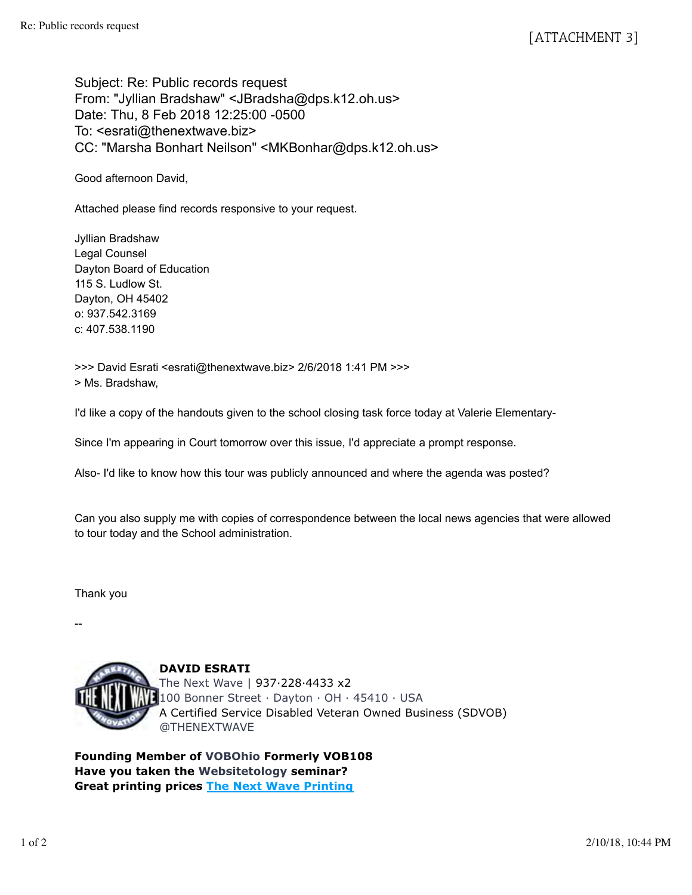Subject: Re: Public records request From: "Jyllian Bradshaw" <JBradsha@dps.k12.oh.us> Date: Thu, 8 Feb 2018 12:25:00 -0500 To: <esrati@thenextwave.biz> CC: "Marsha Bonhart Neilson" <MKBonhar@dps.k12.oh.us>

Good afternoon David,

Attached please find records responsive to your request.

Jyllian Bradshaw Legal Counsel Dayton Board of Education 115 S. Ludlow St. Dayton, OH 45402 o: 937.542.3169 c: 407.538.1190

>>> David Esrati <esrati@thenextwave.biz> 2/6/2018 1:41 PM >>> > Ms. Bradshaw,

I'd like a copy of the handouts given to the school closing task force today at Valerie Elementary-

Since I'm appearing in Court tomorrow over this issue, I'd appreciate a prompt response.

Also- I'd like to know how this tour was publicly announced and where the agenda was posted?

Can you also supply me with copies of correspondence between the local news agencies that were allowed to tour today and the School administration.

Thank you

--



**DAVID ESRATI** The Next Wave | 937·228·4433 x2 100 Bonner Street · Dayton · OH · 45410 · USA A Certified Service Disabled Veteran Owned Business (SDVOB) @THENEXTWAVE

**Founding Member of VOBOhio Formerly VOB108 Have you taken the Websitetology seminar? Great printing prices The Next Wave Printing**